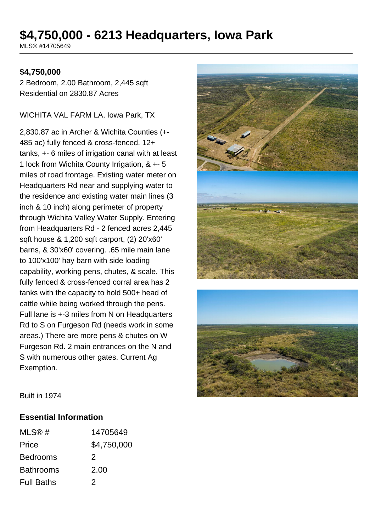# **\$4,750,000 - 6213 Headquarters, Iowa Park**

MLS® #14705649

#### **\$4,750,000**

2 Bedroom, 2.00 Bathroom, 2,445 sqft Residential on 2830.87 Acres

WICHITA VAL FARM LA, Iowa Park, TX

2,830.87 ac in Archer & Wichita Counties (+- 485 ac) fully fenced & cross-fenced. 12+ tanks, +- 6 miles of irrigation canal with at least 1 lock from Wichita County Irrigation, & +- 5 miles of road frontage. Existing water meter on Headquarters Rd near and supplying water to the residence and existing water main lines (3 inch & 10 inch) along perimeter of property through Wichita Valley Water Supply. Entering from Headquarters Rd - 2 fenced acres 2,445 sqft house & 1,200 sqft carport, (2) 20'x60' barns, & 30'x60' covering. .65 mile main lane to 100'x100' hay barn with side loading capability, working pens, chutes, & scale. This fully fenced & cross-fenced corral area has 2 tanks with the capacity to hold 500+ head of cattle while being worked through the pens. Full lane is +-3 miles from N on Headquarters Rd to S on Furgeson Rd (needs work in some areas.) There are more pens & chutes on W Furgeson Rd. 2 main entrances on the N and S with numerous other gates. Current Ag Exemption.





Built in 1974

#### **Essential Information**

| MLS@#             | 14705649    |
|-------------------|-------------|
| Price             | \$4,750,000 |
| <b>Bedrooms</b>   | 2           |
| <b>Bathrooms</b>  | 2.00        |
| <b>Full Baths</b> | 2           |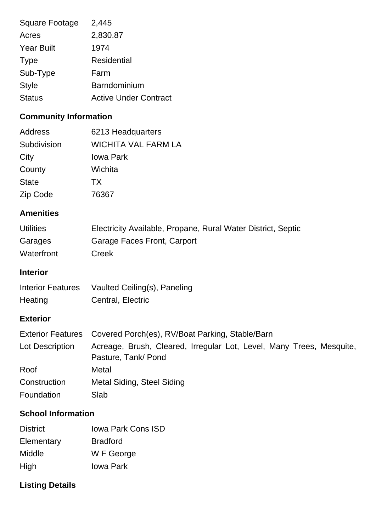| 2,445                        |
|------------------------------|
| 2,830.87                     |
| 1974                         |
| <b>Residential</b>           |
| Farm                         |
| Barndominium                 |
| <b>Active Under Contract</b> |
|                              |

# **Community Information**

| 6213 Headquarters          |
|----------------------------|
| <b>WICHITA VAL FARM LA</b> |
| <b>Iowa Park</b>           |
| Wichita                    |
| <b>TX</b>                  |
| 76367                      |
|                            |

## **Amenities**

| <b>Utilities</b> | Electricity Available, Propane, Rural Water District, Septic |
|------------------|--------------------------------------------------------------|
| Garages          | Garage Faces Front, Carport                                  |
| Waterfront       | Creek                                                        |

#### **Interior**

| <b>Interior Features</b> | Vaulted Ceiling(s), Paneling |
|--------------------------|------------------------------|
| Heating                  | Central, Electric            |

## **Exterior**

|                 | Exterior Features Covered Porch(es), RV/Boat Parking, Stable/Barn                           |
|-----------------|---------------------------------------------------------------------------------------------|
| Lot Description | Acreage, Brush, Cleared, Irregular Lot, Level, Many Trees, Mesquite,<br>Pasture, Tank/ Pond |
| Roof            | Metal                                                                                       |
| Construction    | Metal Siding, Steel Siding                                                                  |
| Foundation      | Slab                                                                                        |

## **School Information**

| <b>District</b> | <b>Iowa Park Cons ISD</b> |
|-----------------|---------------------------|
| Elementary      | <b>Bradford</b>           |
| Middle          | W F George                |
| High            | <b>Iowa Park</b>          |

# **Listing Details**